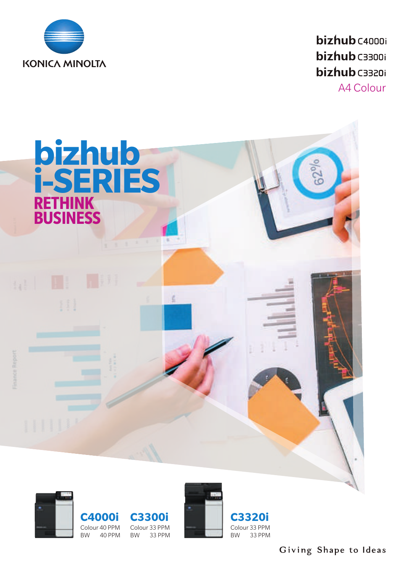

bizhub C4000i **bizhub** C3300i **bizhub** C3320i

A4 Colour







**C3320i** Colour 33 PPM 33 PPM

33 PPM

Giving Shape to Ideas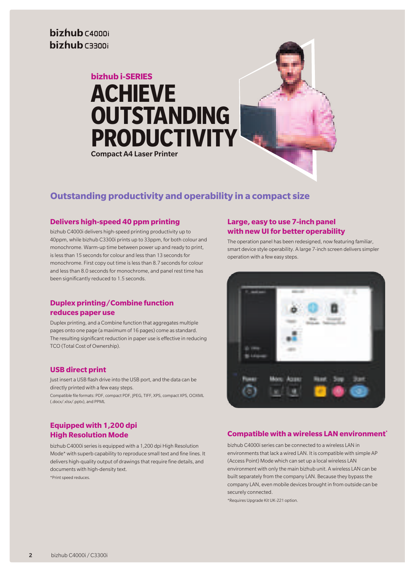# **bizhub i-SERIES ACHIEVE OUTSTANDING PRODUCTIVITY** Compact A4 Laser Printer



## **Outstanding productivity and operability in a compact size**

#### **Delivers high-speed 40 ppm printing**

bizhub C4000i delivers high-speed printing productivity up to 40ppm, while bizhub C3300i prints up to 33ppm, for both colour and monochrome. Warm-up time between power up and ready to print, is less than 15 seconds for colour and less than 13 seconds for monochrome. First copy out time is less than 8.7 seconds for colour and less than 8.0 seconds for monochrome, and panel rest time has been significantly reduced to 1.5 seconds.

#### **Duplex printing/Combine function reduces paper use**

Duplex printing, and a Combine function that aggregates multiple pages onto one page (a maximum of 16 pages) come as standard. The resulting significant reduction in paper use is effective in reducing TCO (Total Cost of Ownership).

#### **USB direct print**

Just insert a USB flash drive into the USB port, and the data can be directly printed with a few easy steps.

Compatible file formats: PDF, compact PDF, JPEG, TIFF, XPS, compact XPS, OOXML (.docx/.xlsx/.pptx), and PPML

#### **Equipped with 1,200 dpi High Resolution Mode**

bizhub C4000i series is equipped with a 1,200 dpi High Resolution Mode\* with superb capability to reproduce small text and fine lines. It delivers high-quality output of drawings that require fine details, and documents with high-density text.

\*Print speed reduces.

#### **Large, easy to use 7-inch panel with new UI for better operability**

The operation panel has been redesigned, now featuring familiar, smart device style operability. A large 7-inch screen delivers simpler operation with a few easy steps.



### **Compatible with a wireless LAN environment\***

bizhub C4000i series can be connected to a wireless LAN in environments that lack a wired LAN. It is compatible with simple AP (Access Point) Mode which can set up a local wireless LAN environment with only the main bizhub unit. A wireless LAN can be built separately from the company LAN. Because they bypass the company LAN, even mobile devices brought in from outside can be securely connected.

\*Requires Upgrade Kit UK-221 option.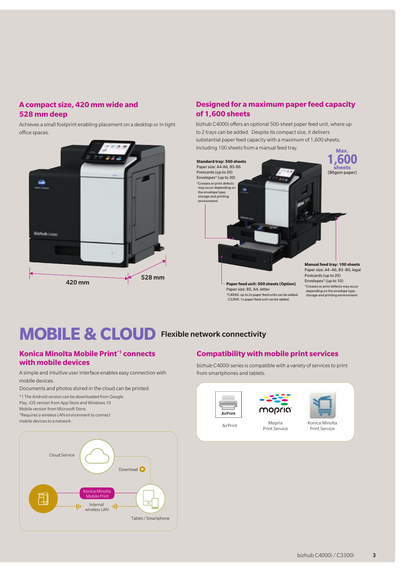### **A compact size, 420 mm wide and 528 mm deep**

Achieves a small footprint enabling placement on a desktop or in tight office spaces.



### **Designed for a maximum paper feed capacity of 1,600 sheets**

bizhub C4000i offers an optional 500-sheet paper feed unit, where up to 2 trays can be added. Despite its compact size, it delivers substantial paper feed capacity with a maximum of 1,600 sheets, including 100 sheets from a manual feed tray. **Max.**



\*C4000i: up to 2x paper feed units can be added. C3300i: 1x paper feed unit can be added.

Paper size: A4 -A6, B5 -B6, legal \*Creases or print defects may occur depending on the envelope type, storage and printing environment.

# **MOBILE & CLOUD** Flexible network connectivity

#### **Konica Minolta Mobile Print\*1 connects with mobile devices**

A simple and intuitive user interface enables easy connection with mobile devices.

Documents and photos stored in the cloud can be printed.

\*1 The Android version can be downloaded from Google Play, iOS version from App Store and Windows 10 Mobile version from Microsoft Store. \*Requires a wireless LAN environment to connect mobile devices to a network.



#### **Compatibility with mobile print services**

bizhub C4000i series is compatible with a variety of services to print from smartphones and tablets.





Print Service



AirPrint Mopria Konica Minolta Print Service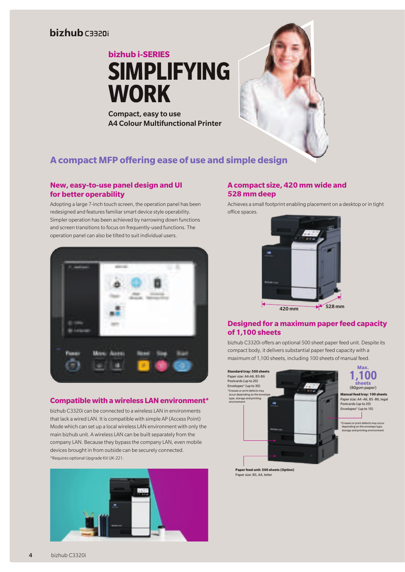# bizhub caazni

**bizhub i-SERIES SIMPLIFYING WORK**

Compact, easy to use

## **A compact MFP offering ease of use and simple design**

A4 Colour Multifunctional Printer

#### **New, easy-to-use panel design and UI for better operability**

Adopting a large 7-inch touch screen, the operation panel has been redesigned and features familiar smart device style operability. Simpler operation has been achieved by narrowing down functions and screen transitions to focus on frequently-used functions. The operation panel can also be tilted to suit individual users.



#### **Compatible with a wireless LAN environment\***

bizhub C3320i can be connected to a wireless LAN in environments that lack a wired LAN. It is compatible with simple AP (Access Point) Mode which can set up a local wireless LAN environment with only the main bizhub unit. A wireless LAN can be built separately from the company LAN. Because they bypass the company LAN, even mobile devices brought in from outside can be securely connected. \*Requires optional Upgrade Kit UK-221.



#### **A compact size, 420 mm wide and 528 mm deep**

Achieves a small footprint enabling placement on a desktop or in tight office spaces.



#### **Designed for a maximum paper feed capacity of 1,100 sheets**

bizhub C3320i offers an optional 500 sheet paper feed unit. Despite its compact body, it delivers substantial paper feed capacity with a maximum of 1,100 sheets, including 100 sheets of manual feed.



**Paper feed unit: 500 sheets (Option)** Paper size: B5, A4, lette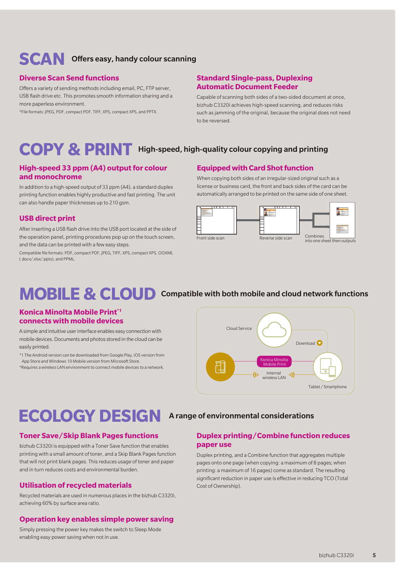# **SCAN** Offers easy, handy colour scanning

#### **Diverse Scan Send functions**

Offers a variety of sending methods including email, PC, FTP server, USB flash drive etc. This promotes smooth information sharing and a more paperless environment.

\*File formats: JPEG, PDF, compact PDF, TIFF, XPS, compact XPS, and PPTX.

#### **Standard Single-pass, Duplexing Automatic Document Feeder**

Capable of scanning both sides of a two-sided document at once, bizhub C3320i achieves high-speed scanning, and reduces risks such as jamming of the original, because the original does not need to be reversed.

# **COPY & PRINT** High-speed, high-quality colour copying and printing

#### **High-speed 33 ppm (A4) output for colour and monochrome**

In addition to a high-speed output of 33 ppm (A4), a standard duplex printing function enables highly productive and fast printing. The unit can also handle paper thicknesses up to 210 gsm.

#### **USB direct print**

After inserting a USB flash drive into the USB port located at the side of the operation panel, printing procedures pop up on the touch screen, and the data can be printed with a few easy steps.

Compatible file formats: PDF, compact PDF, JPEG, TIFF, XPS, compact XPS, OOXML (.docx/.xlsx/.pptx), and PPML.

#### **Equipped with Card Shot function**

When copying both sides of an irregular-sized original such as a license or business card, the front and back sides of the card can be automatically arranged to be printed on the same side of one sheet.



# **MOBILE & CLOUD** Compatible with both mobile and cloud network functions

#### **Konica Minolta Mobile Print\*1 connects with mobile devices**

A simple and intuitive user interface enables easy connection with mobile devices. Documents and photos stored in the cloud can be easily printed.

\*1 The Android version can be downloaded from Google Play, iOS version from

App Store and Windows 10 Mobile version from Microsoft Store.

\*Requires a wireless LAN environment to connect mobile devices to a network.



# **ECOLOGY DESIGN** A range of environmental considerations

#### **Toner Save/Skip Blank Pages functions**

bizhub C3320i is equipped with a Toner Save function that enables printing with a small amount of toner, and a Skip Blank Pages function that will not print blank pages. This reduces usage of toner and paper and in turn reduces costs and environmental burden.

#### **Utilisation of recycled materials**

Recycled materials are used in numerous places in the bizhub C3320i, achieving 60% by surface area ratio.

#### **Operation key enables simple power saving**

Simply pressing the power key makes the switch to Sleep Mode enabling easy power saving when not in use.

#### **Duplex printing/Combine function reduces paper use**

Duplex printing, and a Combine function that aggregates multiple pages onto one page (when copying: a maximum of 8 pages; when printing: a maximum of 16 pages) come as standard. The resulting significant reduction in paper use is effective in reducing TCO (Total Cost of Ownership).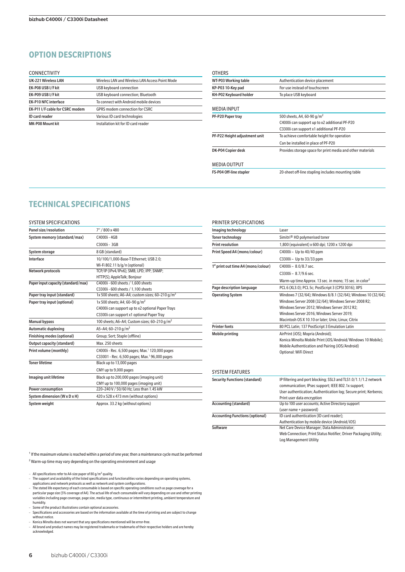### **OPTION DESCRIPTIONS**

#### CONNECTIVITY

| <b>UK-221 Wireless LAN</b>      | Wireless LAN and Wireless LAN Access Point Mode |
|---------------------------------|-------------------------------------------------|
| EK-P08 USB I/F kit              | USB keyboard connection                         |
| EK-P09 USB I/F kit              | USB keyboard connection; Bluetooth              |
| <b>EK-P10 NFC interface</b>     | To connect with Android mobile devices          |
| EK-P11 I/F cable for CSRC modem | <b>GPRS modem connection for CSRC</b>           |
| <b>ID</b> card reader           | Various ID card technologies                    |
| <b>MK-P08 Mount kit</b>         | Installation kit for ID card reader             |

| OTHERS                        |                                                            |
|-------------------------------|------------------------------------------------------------|
| <b>WT-P03 Working table</b>   | Authentication device placement                            |
| KP-P03 10-Key pad             | For use instead of touchscreen                             |
| KH-P02 Keyboard holder        | To place USB keyboard                                      |
| <b>MEDIA INPUT</b>            |                                                            |
| PF-P20 Paper tray             | 500 sheets, A4, 60-90 g/m <sup>2</sup>                     |
|                               | C4000i can support up to x2 additional PF-P20              |
|                               | C3300i can support x1 additional PF-P20                    |
| PF-P22 Height adjustment unit | To achieve comfortable height for operation                |
|                               | Can be installed in place of PF-P20                        |
| DK-P04 Copier desk            | Provides storage space for print media and other materials |
| <b>MEDIA OUTPUT</b>           |                                                            |
| FS-P04 Off-line stapler       | 20-sheet off-line stapling includes mounting table         |
|                               |                                                            |

#### **TECHNICAL SPECIFICATIONS**

| <b>SYSTEM SPECIFICATIONS</b>        |                                                             |
|-------------------------------------|-------------------------------------------------------------|
| Panel size/resolution               | 7" / 800 x 480                                              |
| System memory (standard/max)        | C4000i - 4GB                                                |
|                                     | C3000i - 3GB                                                |
| System storage                      | 8 GB (standard)                                             |
| Interface                           | 10/100/1,000-Base-T Ethernet; USB 2.0;                      |
|                                     | Wi-Fi 802.11 b/g/n (optional)                               |
| Network protocols                   | TCP/IP (IPv4/IPv6); SMB; LPD; IPP; SNMP;                    |
|                                     | HTTP(S); AppleTalk; Bonjour                                 |
| Paper input capacity (standard/max) | C4000i - 600 sheets / 1,600 sheets                          |
|                                     | C3300i - 600 sheets / 1,100 sheets                          |
| Paper tray input (standard)         | 1x 500 sheets; A6-A4; custom sizes; 60-210 g/m <sup>2</sup> |
| Paper tray input (optional)         | 1x 500 sheets; A4; 60-90 g/m <sup>2</sup>                   |
|                                     | C4000i can support up to x2 optional Paper Trays            |
|                                     | C3300i can support x1 optional Paper Tray                   |
| <b>Manual bypass</b>                | 100 sheets; A6-A4; Custom sizes; 60-210 g/m <sup>2</sup>    |
| <b>Automatic duplexing</b>          | A5-A4; 60-210 g/m <sup>2</sup>                              |
| Finishing modes (optional)          | Group; Sort; Staple (offline)                               |
| Output capacity (standard)          | Max 250 sheets                                              |
| Print volume (monthly)              | C4000i - Rec. 6,500 pages; Max. <sup>1</sup> 120,000 pages  |
|                                     | C33001 - Rec. 6,500 pages; Max. <sup>1</sup> 96,000 pages   |
| <b>Toner lifetime</b>               | Black up to 13,000 pages                                    |
|                                     | CMY up to 9,000 pages                                       |
| Imaging unit lifetime               | Black up to 200,000 pages (imaging unit)                    |
|                                     | CMY up to 100,000 pages (imaging unit)                      |
| <b>Power consumption</b>            | 220-240 V / 50/60 Hz; Less than 1.45 kW                     |
| System dimension (W x D x H)        | 420 x 528 x 473 mm (without options)                        |
| System weight                       | Approx. 33.2 kg (without options)                           |

#### PRINTER SPECIFICATIONS Imaging technology Laser Toner technology Simitri® HD polymerised toner Print resolution 1,800 (equivalent) x 600 dpi; 1200 x 1200 dpi Print Speed A4 (mono/colour) C4000i - Up to 40/40 ppm C3300i – Up to 33/33 ppm 1<sup>st</sup> print out time A4 (mono/colour) C4000i - 8.0/8.7 sec. C3300i – 8.7/9.6 sec. Warm-up time Approx. 13 sec. in mono; 15 sec. in color<sup>2</sup> Page description language PCL 6 (XL3.0); PCL 5c; PostScript 3 (CPSI 3016); XPS Operating System Windows 7 (32/64); Windows 8/8.1 (32/64); Windows 10 (32/64); Windows Server 2008 (32/64); Windows Server 2008 R2; Windows Server 2012; Windows Server 2012 R2; Windows Server 2016; Windows Server 2019; Macintosh OS X 10.10 or later; Unix; Linux; Citrix Printer fonts 80 PCL Latin; 137 PostScript 3 Emulation Latin Mobile printing AirPrint (iOS); Mopria (Android); Konica Minolta Mobile Print (iOS/Android/Windows 10 Mobile); Mobile Authentication and Pairing (iOS/Android) Optional: WiFi Direct SYSTEM FEATURES

| <b>Security Functions (standard)</b>   | IP filtering and port blocking; SSL3 and TLS1.0/1.1/1.2 network  |
|----------------------------------------|------------------------------------------------------------------|
|                                        | communication; IPsec support; IEEE 802.1x support;               |
|                                        | User authentication; Authentication log; Secure print; Kerberos; |
|                                        | Print user data encryption                                       |
| <b>Accounting (standard)</b>           | Up to 100 user accounts; Active Directory support                |
|                                        | (user name + password)                                           |
| <b>Accounting Functions (optional)</b> | ID card authentication (ID card reader);                         |
|                                        | Authentication by mobile device (Android/iOS)                    |
| Software                               | Net Care Device Manager; Data Administrator;                     |
|                                        | Web Connection; Print Status Notifier; Driver Packaging Utility; |
|                                        | Log Management Utility                                           |

 $<sup>1</sup>$  If the maximum volume is reached within a period of one year, then a maintenance cycle must be performed</sup> ² Warm-up time may vary depending on the operating environment and usage

– All specifications refer to A4-size paper of 80  $\sigma/m^2$  quality.

- The support and availability of the listed specifications and functionalities varies depending on operating systems, applications and network protocols as well as network and system configurations. – The stated life expectancy of each consumable is based on specific operating conditions such as page coverage for a
- particular page size (5% coverage of A4). The actual life of each consumable will vary depending on use and other printing<br>variables including page coverage, page size, media type, continuous or intermittent printing, ambi humidity. – Some of the product illustrations contain optional accessories.

- Specifications and accessories are based on the information available at the time of printing and are subject to change without notice.
- Konica Minolta does not warrant that any specifications mentioned will be error-free.
- All brand and product names may be registered trademarks or trademarks of their respective holders and are hereby acknowledged.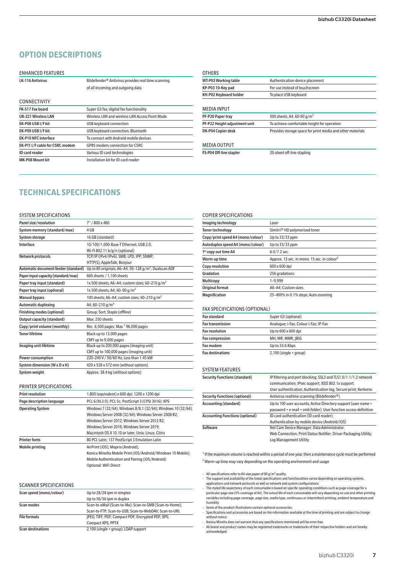### **OPTION DESCRIPTIONS**

#### ENHANCED FEATURES

LK-116 Antivirus Bitdefender® Antivirus provides real time scanning of all incoming and outgoing data

| <b>CONNECTIVITY</b>             |                                                 |
|---------------------------------|-------------------------------------------------|
| FK-517 Fax board                | Super G3 fax; digital fax functionality         |
| <b>UK-221 Wireless LAN</b>      | Wireless LAN and wireless LAN Access Point Mode |
| EK-P08 USB I/F kit              | USB keyboard connection                         |
| EK-P09 USB I/F kit              | USB keyboard connection; Bluetooth              |
| <b>EK-P10 NFC interface</b>     | To connect with Android mobile devices          |
| EK-P11 I/F cable for CSRC modem | <b>GPRS modem connection for CSRC</b>           |
| <b>ID</b> card reader           | Various ID card technologies                    |
| MK-P08 Mount kit                | Installation kit for ID card reader             |

| <b>OTHERS</b>                  |                                                            |
|--------------------------------|------------------------------------------------------------|
| <b>WT-P03 Working table</b>    | Authentication device placement                            |
| KP-P03 10-Key pad              | For use instead of touchscreen                             |
| KH-P02 Keyboard holder         | To place USB keyboard                                      |
|                                |                                                            |
| <b>MEDIA INPUT</b>             |                                                            |
| PF-P20 Paper tray              | 500 sheets. A4. 60-90 g/m <sup>2</sup>                     |
| PF-P22 Height adjustment unit  | To achieve comfortable height for operation                |
| DK-P04 Copier desk             | Provides storage space for print media and other materials |
| <b>MEDIA OUTPUT</b>            |                                                            |
| <b>FS-P04 Off-line stapler</b> | 20-sheet off-line stapling                                 |

### **TECHNICAL SPECIFICATIONS**

#### SYSTEM SPECIFICATIONS

PRINTER SPECIFICATIONS

| Panel size/resolution                | 7" / 800 x 480                                              |
|--------------------------------------|-------------------------------------------------------------|
| System memory (standard/max)         | 4 GB                                                        |
| <b>System storage</b>                | 16 GB (standard)                                            |
| Interface                            | 10/100/1,000-Base-T Ethernet; USB 2.0;                      |
|                                      | Wi-Fi 802.11 b/g/n (optional)                               |
| Network protocols                    | TCP/IP (IPv4/IPv6); SMB; LPD; IPP; SNMP;                    |
|                                      | HTTP(S); AppleTalk; Bonjour                                 |
| Automatic document feeder (standard) | Up to 80 originals; A6-A4; 50-128 $g/m^2$ ; Dualscan ADF    |
| Paper input capacity (standard/max)  | 600 sheets / 1.100 sheets                                   |
| Paper tray input (standard)          | 1x 500 sheets; A6-A4; custom sizes; 60-210 g/m <sup>2</sup> |
| Paper tray input (optional)          | 1x 500 sheets; A4; 60-90 g/m <sup>2</sup>                   |
| <b>Manual bypass</b>                 | 100 sheets; A6-A4; custom sizes; 60-210 g/m <sup>2</sup>    |
| <b>Automatic duplexing</b>           | A4; 60-210 g/m <sup>2</sup>                                 |
| Finishing modes (optional)           | Group; Sort; Staple (offline)                               |
| Output capacity (standard)           | Max. 250 sheets                                             |
| Copy/print volume (monthly)          | Rec. 6,500 pages; Max. <sup>1</sup> 96,000 pages            |
| <b>Toner lifetime</b>                | Black up to 13,000 pages                                    |
|                                      | CMY up to 9,000 pages                                       |
| Imaging unit lifetime                | Black up to 200,000 pages (imaging unit)                    |
|                                      | CMY up to 100,000 pages (imaging unit)                      |
| <b>Power consumption</b>             | 220-240 V / 50/60 Hz; Less than 1.45 kW                     |
| System dimension (W x D x H)         | 420 x 528 x 572 mm (without options)                        |
| <b>System weight</b>                 | Approx. 38.4 kg (without options)                           |

Print resolution 1,800 (equivalent) x 600 dpi; 1200 x 1200 dpi Page description language PCL 6 (XL3.0); PCL 5c; PostScript 3 (CPSI 3016); XPS Operating System Windows 7 (32/64); Windows 8/8.1 (32/64); Windows 10 (32/64);

Printer fonts **80 PCL** Latin; 137 PostScript 3 Emulation Latin Mobile printing AirPrint (iOS); Mopria (Android);

#### Imaging technology Laser Toner technology Simitri® HD polymerised toner Copy/print speed A4 (mono/colour) Up to 33/33 ppm Autoduplex speed A4 (mono/colour) Up to 33/33 ppm  $1<sup>st</sup>$  copy out time A4 6.0/7.2 sec. Warm-up time Approx. 13 sec. in mono; 15 sec. in colour<sup>2</sup> Copy resolution 600 x 600 dpi Gradation 256 gradations Multicopy 1-9,999 Original format A6–A4; Custom sizes Magnification 25-400% in 0.1% steps; Auto-zooming

#### FAX SPECIFICATIONS (OPTIONAL)

COPIER SPECIFICATIONS

| <b>Fax standard</b>     | Super G3 (optional)                   |
|-------------------------|---------------------------------------|
| <b>Fax transmission</b> | Analogue; i-Fax; Colour i-Fax; IP-Fax |
| <b>Fax resolution</b>   | Up to 600 x 600 dpi                   |
| <b>Fax compression</b>  | MH; MR; MMR; IBIG                     |
| Fax modem               | Up to 33.6 Kbps                       |
| <b>Fax destinations</b> | $2,100$ (single + group)              |

#### SYSTEM FEATURES

| <b>Security Functions (standard)</b>   | IP filtering and port blocking; SSL3 and TLS1.0/1.1/1.2 network  |
|----------------------------------------|------------------------------------------------------------------|
|                                        | communication; IPsec support; IEEE 802.1x support;               |
|                                        | User authentication; Authentication log; Secure print; Kerberos  |
| <b>Security Functions (optional)</b>   | Antivirus realtime scanning (Bitdefender <sup>®</sup> )          |
| <b>Accounting (standard)</b>           | Up to 100 user accounts; Active Directory support (user name +   |
|                                        | password + e-mail + smb folder); User function access definition |
| <b>Accounting Functions (optional)</b> | ID card authentication (ID card reader);                         |
|                                        | Authentication by mobile device (Android/iOS)                    |
| Software                               | Net Care Device Manager; Data Administrator;                     |
|                                        | Web Connection; Print Status Notifier; Driver Packaging Utility; |
|                                        | Log Management Utility                                           |

 $1$  If the maximum volume is reached within a period of one year, then a maintenance cycle must be performed ² Warm-up time may vary depending on the operating environment and usage

– All specifications refer to A4-size paper of 80 g/m² quality.<br>– The support and availability of the listed specifications and functionalities varies depending on operating systems, applications and network protocols as well as network and system configurations. – The stated life expectancy of each consumable is based on specific operating conditions such as page coverage for a

particular page size (5% coverage of A4). The actual life of each consumable will vary depending on use and other printing<br>variables including page coverage, page size, media type, continuous or intermittent printing, ambi humidity. – Some of the product illustrations contain optional accessories.

– Specifications and accessories are based on the information available at the time of printing and are subject to change without notice.

– Konica Minolta does not warrant that any specifications mentioned will be error-free.

– All brand and product names may be registered trademarks or trademarks of their respective holders and are hereby acknowledged.

| SCANNER SPECIFICATIONS   |                                                         |
|--------------------------|---------------------------------------------------------|
| Scan speed (mono/colour) | Up to 28/28 ipm in simplex                              |
|                          | Up to 56/56 ipm in duplex                               |
| Scan modes               | Scan-to-eMail (Scan-to-Me); Scan-to-SMB (Scan-to-Home); |
|                          | Scan-to-FTP: Scan-to-USB: Scan-to-WebDAV: Scan-to-URL   |
| <b>File formats</b>      | JPEG; TIFF; PDF; Compact PDF; Encrypted PDF; XPS;       |
|                          | Compact XPS; PPTX                                       |
| Scan destinations        | 2,100 (single + group); LDAP support                    |
|                          |                                                         |

Optional: WiFi Direct

Windows Server 2008 (32/64); Windows Server 2008 R2; Windows Server 2012; Windows Server 2012 R2; Windows Server 2016; Windows Server 2019; Macintosh OS X 10.10 or later; Unix; Linux; Citrix

Konica Minolta Mobile Print (iOS/Android/Windows 10 Mobile); Mobile Authentication and Pairing (iOS/Android)